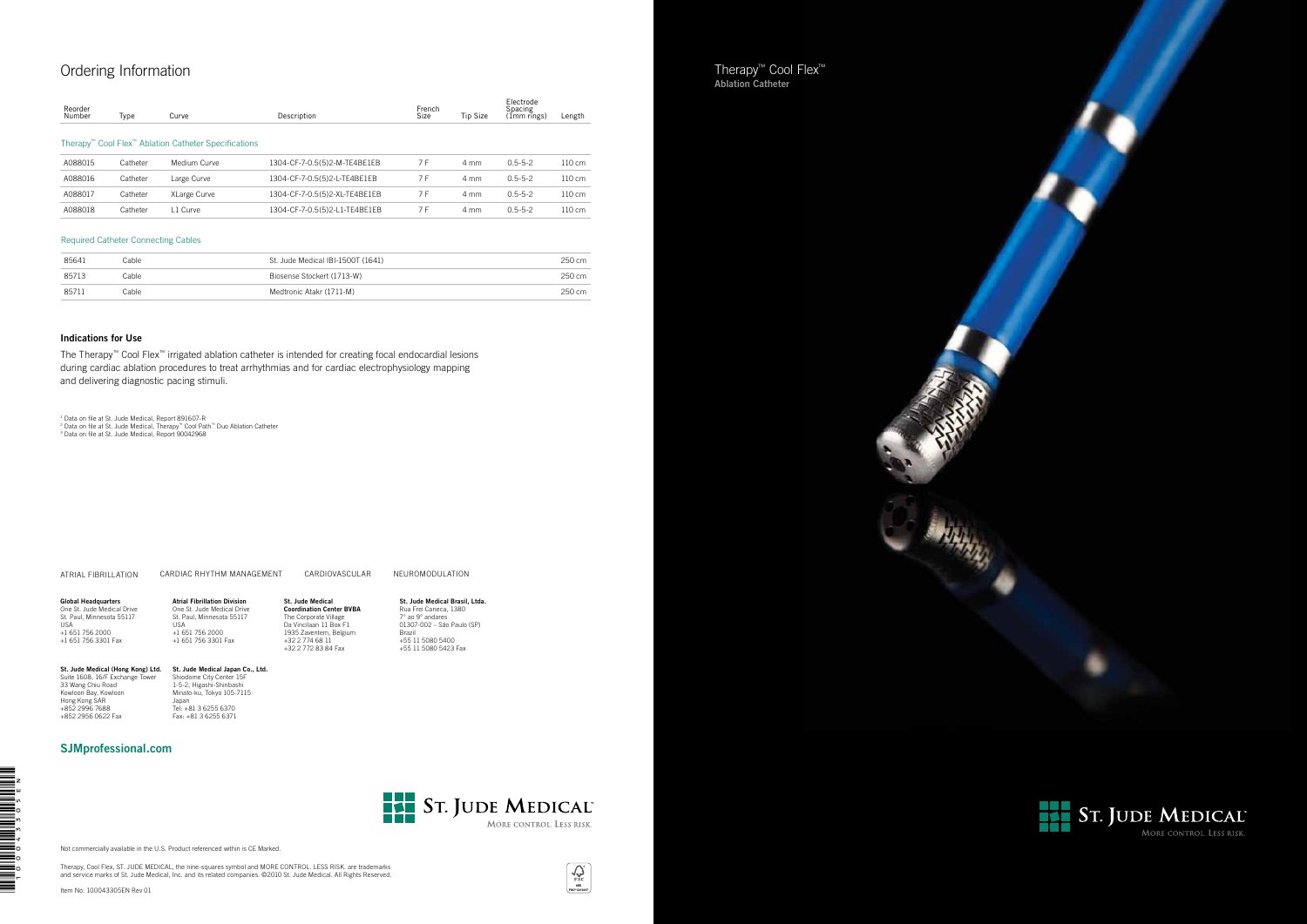



 $\sum_{\substack{\text{FSC} \\ \text{RSC OCH244}}}$ 





Not commercially available in the U.S. Product referenced within is CE Marked.

Therapy, Cool Flex, ST. JUDE MEDICAL, the nine-squares symbol and MORE CONTROL. LESS RISK. are trademarks and service marks of St. Jude Medical, Inc. and its related companies. ©2010 St. Jude Medical. All Rights Reserved.

Item No. 100043305EN Rev 01

**THE READERS OF SEARCH SEARCH SEARCH SEARCH SEARCH SEARCH SEARCH SEARCH SEARCH SEARCH SEARCH SEARCH SEARCH SEARC** 

### Ordering Information

| Reorder<br>Number                                                | Type     | Curve        | Description                   | French<br>Size | <b>Tip Size</b> | Electrode<br>Spacing<br>(Imm rīngs) | Length           |  |
|------------------------------------------------------------------|----------|--------------|-------------------------------|----------------|-----------------|-------------------------------------|------------------|--|
| Therapy <sup>™</sup> Cool Flex™ Ablation Catheter Specifications |          |              |                               |                |                 |                                     |                  |  |
| A088015                                                          | Catheter | Medium Curve | 1304-CF-7-0.5(5)2-M-TE4BE1EB  | 7 F            | 4 mm            | $0.5 - 5 - 2$                       | $110 \text{ cm}$ |  |
| A088016                                                          | Catheter | Large Curve  | 1304-CF-7-0.5(5)2-L-TE4BE1EB  | 7 F            | 4 mm            | $0.5 - 5 - 2$                       | 110 cm           |  |
| A088017                                                          | Catheter | XLarge Curve | 1304-CF-7-0.5(5)2-XL-TE4BE1EB | 7 F            | 4 mm            | $0.5 - 5 - 2$                       | $110 \text{ cm}$ |  |
| A088018                                                          | Catheter | 11 Curve     | 1304-CF-7-0.5(5)2-L1-TE4BE1EB | 7 F            | 4 mm            | $0.5 - 5 - 2$                       | 110 cm           |  |

| 85641 | Cable | St. Jude Medical IBI-1500T (1641) | 250 cm |
|-------|-------|-----------------------------------|--------|
| 85713 | Cable | Biosense Stockert (1713-W)        | 250 cm |
| 85711 | Cable | Medtronic Atakr (1711-M)          | 250 cm |

### **St. Jude Medical Japan Co., Ltd.**<br>Shiodome City Center 15F<br>1-5-2, Higashi-Shinbashi<br>Minato-ku, Tokyo 105-7115 Japan Tel: +81 3 6255 6370 Fax: +81 3 6255 6371

### Required Catheter Connecting Cables

**Global Headquarters**<br>One St. Jude Medical Drive<br>St. Paul, Minnesota 55117 USA +1 651 756 2000 +1 651 756 3301 Fax

### **Indications for Use**

The Therapy™ Cool Flex™ irrigated ablation catheter is intended for creating focal endocardial lesions during cardiac ablation procedures to treat arrhythmias and for cardiac electrophysiology mapping and delivering diagnostic pacing stimuli.

† Data on file at St. Jude Medical, Report 891607-R<br>? Data on file at St. Jude Medical, Therapy™ Cool Path™ Duo Ablation Catheter<br>ª Data on file at St. Jude Medical, Report 90042968

ATRIAL FIBRILLATION CARDIAC RHYTHM MANAGEMENT CARDIOVASCULAR NEUROMODULATION

### SJMprofessional.com



St. Jude Medical (Hong Kong) Ltd. Suite 1608, 16/F Exchange Tower

33 Wang Chiu Road Kowloon Bay, Kowloon Hong Kong SAR +852 2996 7688 +852 2956 0622 Fax

USA +1 651 756 2000

Atrial Fibrillation Division One St. Jude Medical Drive St. Paul, Minnesota 55117 +1 651 756 3301 Fax St. Jude Medical Coordination Center BVBA The Corporate Village Da Vincilaan 11 Box F1 1935 Zaventem, Belgium +32 2 774 68 11 +32 2 772 83 84 Fax

St. Jude Medical Brasil, Ltda. Rua Frei Caneca, 1380 7° ao 9° andares 01307-002 – São Paulo (SP)

Brazil

+55 11 5080 5400 +55 11 5080 5423 Fax